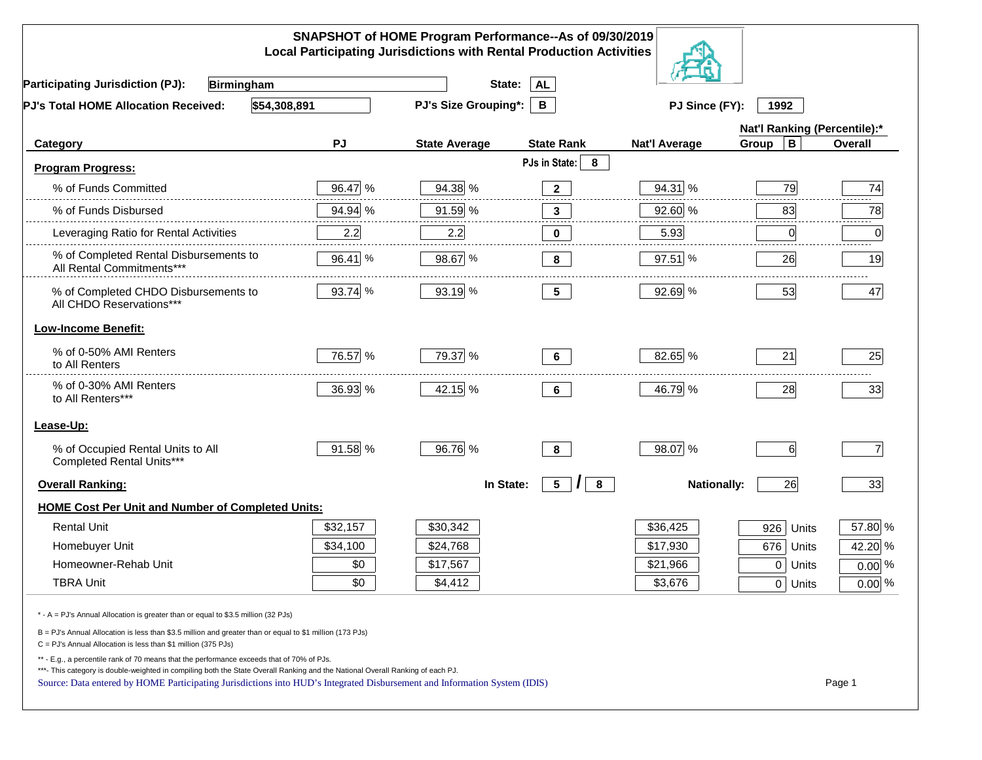| SNAPSHOT of HOME Program Performance--As of 09/30/2019<br><b>Local Participating Jurisdictions with Rental Production Activities</b>                                                                                        |          |                             |                                 |                      |                              |                |  |
|-----------------------------------------------------------------------------------------------------------------------------------------------------------------------------------------------------------------------------|----------|-----------------------------|---------------------------------|----------------------|------------------------------|----------------|--|
| <b>Participating Jurisdiction (PJ):</b><br><b>Birmingham</b>                                                                                                                                                                |          | State:                      | <b>AL</b>                       |                      |                              |                |  |
| \$54,308,891<br>PJ's Total HOME Allocation Received:                                                                                                                                                                        |          | <b>PJ's Size Grouping*:</b> | B                               | PJ Since (FY):       | 1992                         |                |  |
|                                                                                                                                                                                                                             |          |                             |                                 |                      | Nat'l Ranking (Percentile):* |                |  |
| Category                                                                                                                                                                                                                    | PJ       | <b>State Average</b>        | <b>State Rank</b>               | <b>Nat'l Average</b> | Group<br>В                   | Overall        |  |
| <b>Program Progress:</b>                                                                                                                                                                                                    |          |                             | PJs in State:<br>8              |                      |                              |                |  |
| % of Funds Committed                                                                                                                                                                                                        | 96.47 %  | 94.38 %                     | $\overline{2}$                  | 94.31 %              | 79                           | 74             |  |
| % of Funds Disbursed                                                                                                                                                                                                        | 94.94 %  | 91.59 %                     | $\mathbf{3}$                    | 92.60 %              | 83                           | 78             |  |
| Leveraging Ratio for Rental Activities                                                                                                                                                                                      | 2.2      | 2.2                         | 0                               | 5.93                 | 0                            | 0              |  |
| % of Completed Rental Disbursements to<br>All Rental Commitments***                                                                                                                                                         | 96.41 %  | 98.67 %                     | 8                               | 97.51 %              | 26                           | 19             |  |
| % of Completed CHDO Disbursements to<br>All CHDO Reservations***                                                                                                                                                            | 93.74 %  | 93.19 %                     | 5 <sub>5</sub>                  | 92.69 %              | 53                           | 47             |  |
| <b>Low-Income Benefit:</b>                                                                                                                                                                                                  |          |                             |                                 |                      |                              |                |  |
| % of 0-50% AMI Renters<br>to All Renters                                                                                                                                                                                    | 76.57 %  | 79.37 %                     | 6                               | 82.65 %              | 21                           | 25             |  |
| % of 0-30% AMI Renters<br>to All Renters***                                                                                                                                                                                 | 36.93 %  | 42.15 %                     | 6                               | 46.79 %              | 28                           | 33             |  |
| Lease-Up:                                                                                                                                                                                                                   |          |                             |                                 |                      |                              |                |  |
| % of Occupied Rental Units to All<br>Completed Rental Units***                                                                                                                                                              | 91.58 %  | 96.76 %                     | 8                               | 98.07 %              | 6                            | $\overline{7}$ |  |
| <b>Overall Ranking:</b>                                                                                                                                                                                                     |          | In State:                   | 5 <sub>5</sub><br>$\prime$<br>8 | <b>Nationally:</b>   | 26                           | 33             |  |
| HOME Cost Per Unit and Number of Completed Units:                                                                                                                                                                           |          |                             |                                 |                      |                              |                |  |
| <b>Rental Unit</b>                                                                                                                                                                                                          | \$32,157 | \$30,342                    |                                 | \$36,425             | 926<br>Units                 | 57.80 %        |  |
| Homebuyer Unit                                                                                                                                                                                                              | \$34,100 | \$24,768                    |                                 | \$17,930             | 676<br>Units                 | 42.20 %        |  |
| Homeowner-Rehab Unit                                                                                                                                                                                                        | \$0      | \$17,567                    |                                 | \$21,966             | $\mathbf 0$<br>Units         | $0.00\%$       |  |
| <b>TBRA Unit</b>                                                                                                                                                                                                            | \$0      | \$4,412                     |                                 | \$3,676              | 0 Units                      | $0.00\%$       |  |
| * - A = PJ's Annual Allocation is greater than or equal to \$3.5 million (32 PJs)                                                                                                                                           |          |                             |                                 |                      |                              |                |  |
| B = PJ's Annual Allocation is less than \$3.5 million and greater than or equal to \$1 million (173 PJs)<br>C = PJ's Annual Allocation is less than \$1 million (375 PJs)                                                   |          |                             |                                 |                      |                              |                |  |
| ** - E.g., a percentile rank of 70 means that the performance exceeds that of 70% of PJs.<br>***- This category is double-weighted in compiling both the State Overall Ranking and the National Overall Ranking of each PJ. |          |                             |                                 |                      |                              |                |  |
| Source: Data entered by HOME Participating Jurisdictions into HUD's Integrated Disbursement and Information System (IDIS)                                                                                                   |          |                             |                                 |                      |                              | Page 1         |  |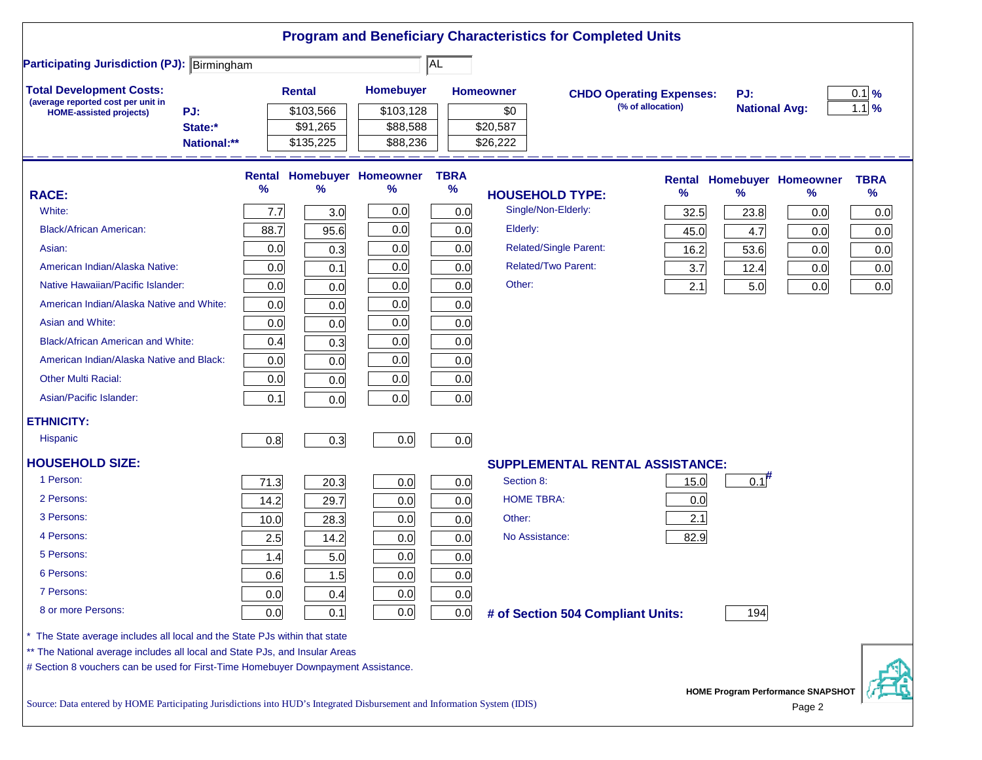|                                                                                                                           |        |               |                            |             | <b>Program and Beneficiary Characteristics for Completed Units</b> |                                 |                      |                                          |             |
|---------------------------------------------------------------------------------------------------------------------------|--------|---------------|----------------------------|-------------|--------------------------------------------------------------------|---------------------------------|----------------------|------------------------------------------|-------------|
| <b>Participating Jurisdiction (PJ): Birmingham</b>                                                                        |        |               |                            | AL          |                                                                    |                                 |                      |                                          |             |
| <b>Total Development Costs:</b>                                                                                           |        | <b>Rental</b> | <b>Homebuyer</b>           |             | <b>Homeowner</b>                                                   | <b>CHDO Operating Expenses:</b> | PJ:                  |                                          | $0.1\%$     |
| (average reported cost per unit in<br>PJ:<br><b>HOME-assisted projects)</b>                                               |        | \$103,566     | \$103,128                  |             | \$0                                                                | (% of allocation)               | <b>National Avg:</b> |                                          | $1.1\%$     |
| State:*                                                                                                                   |        | \$91,265      | \$88,588                   |             | \$20,587                                                           |                                 |                      |                                          |             |
| National:**                                                                                                               |        | \$135,225     | \$88,236                   |             | \$26,222                                                           |                                 |                      |                                          |             |
|                                                                                                                           | Rental |               | <b>Homebuyer Homeowner</b> | <b>TBRA</b> |                                                                    |                                 |                      | <b>Rental Homebuyer Homeowner</b>        | <b>TBRA</b> |
| <b>RACE:</b>                                                                                                              | %      | ℅             | ℅                          | $\%$        | <b>HOUSEHOLD TYPE:</b>                                             | %                               | $\frac{9}{6}$        | %                                        | $\%$        |
| White:                                                                                                                    | 7.7    | 3.0           | 0.0                        | 0.0         | Single/Non-Elderly:                                                | 32.5                            | 23.8                 | 0.0                                      | 0.0         |
| <b>Black/African American:</b>                                                                                            | 88.7   | 95.6          | 0.0                        | 0.0         | Elderly:                                                           | 45.0                            | 4.7                  | 0.0                                      | 0.0         |
| Asian:                                                                                                                    | 0.0    | 0.3           | 0.0                        | 0.0         | <b>Related/Single Parent:</b>                                      | 16.2                            | 53.6                 | 0.0                                      | 0.0         |
| American Indian/Alaska Native:                                                                                            | 0.0    | 0.1           | 0.0                        | 0.0         | <b>Related/Two Parent:</b>                                         | 3.7                             | 12.4                 | 0.0                                      | 0.0         |
| Native Hawaiian/Pacific Islander:                                                                                         | 0.0    | 0.0           | 0.0                        | 0.0         | Other:                                                             | 2.1                             | 5.0                  | 0.0                                      | 0.0         |
| American Indian/Alaska Native and White:                                                                                  | 0.0    | 0.0           | 0.0                        | 0.0         |                                                                    |                                 |                      |                                          |             |
| Asian and White:                                                                                                          | 0.0    | 0.0           | 0.0                        | 0.0         |                                                                    |                                 |                      |                                          |             |
| <b>Black/African American and White:</b>                                                                                  | 0.4    | 0.3           | 0.0                        | 0.0         |                                                                    |                                 |                      |                                          |             |
| American Indian/Alaska Native and Black:                                                                                  | 0.0    | 0.0           | 0.0                        | 0.0         |                                                                    |                                 |                      |                                          |             |
| <b>Other Multi Racial:</b>                                                                                                | 0.0    | 0.0           | 0.0                        | 0.0         |                                                                    |                                 |                      |                                          |             |
| Asian/Pacific Islander:                                                                                                   | 0.1    | 0.0           | 0.0                        | 0.0         |                                                                    |                                 |                      |                                          |             |
| <b>ETHNICITY:</b>                                                                                                         |        |               |                            |             |                                                                    |                                 |                      |                                          |             |
| <b>Hispanic</b>                                                                                                           | 0.8    | 0.3           | 0.0                        | 0.0         |                                                                    |                                 |                      |                                          |             |
| <b>HOUSEHOLD SIZE:</b>                                                                                                    |        |               |                            |             | <b>SUPPLEMENTAL RENTAL ASSISTANCE:</b>                             |                                 |                      |                                          |             |
| 1 Person:                                                                                                                 | 71.3   | 20.3          | 0.0                        | 0.0         | Section 8:                                                         | 15.0                            | $0.1$ <sup>#</sup>   |                                          |             |
| 2 Persons:                                                                                                                | 14.2   | 29.7          | 0.0                        | 0.0         | <b>HOME TBRA:</b>                                                  | 0.0                             |                      |                                          |             |
| 3 Persons:                                                                                                                | 10.0   | 28.3          | 0.0                        | 0.0         | Other:                                                             | 2.1                             |                      |                                          |             |
| 4 Persons:                                                                                                                | 2.5    | 14.2          | 0.0                        | 0.0         | No Assistance:                                                     | 82.9                            |                      |                                          |             |
| 5 Persons:                                                                                                                | 1.4    | 5.0           | 0.0                        | 0.0         |                                                                    |                                 |                      |                                          |             |
| 6 Persons:                                                                                                                | 0.6    | $1.5$         | 0.0                        | 0.0         |                                                                    |                                 |                      |                                          |             |
| 7 Persons:                                                                                                                | 0.0    | 0.4           | 0.0                        | 0.0         |                                                                    |                                 |                      |                                          |             |
| 8 or more Persons:                                                                                                        | 0.0    | 0.1           | 0.0                        | 0.0         | # of Section 504 Compliant Units:                                  |                                 | 194                  |                                          |             |
| The State average includes all local and the State PJs within that state                                                  |        |               |                            |             |                                                                    |                                 |                      |                                          |             |
| ** The National average includes all local and State PJs, and Insular Areas                                               |        |               |                            |             |                                                                    |                                 |                      |                                          |             |
| # Section 8 vouchers can be used for First-Time Homebuyer Downpayment Assistance.                                         |        |               |                            |             |                                                                    |                                 |                      |                                          |             |
|                                                                                                                           |        |               |                            |             |                                                                    |                                 |                      | <b>HOME Program Performance SNAPSHOT</b> |             |
| Source: Data entered by HOME Participating Jurisdictions into HUD's Integrated Disbursement and Information System (IDIS) |        |               |                            |             |                                                                    |                                 |                      | Page 2                                   |             |